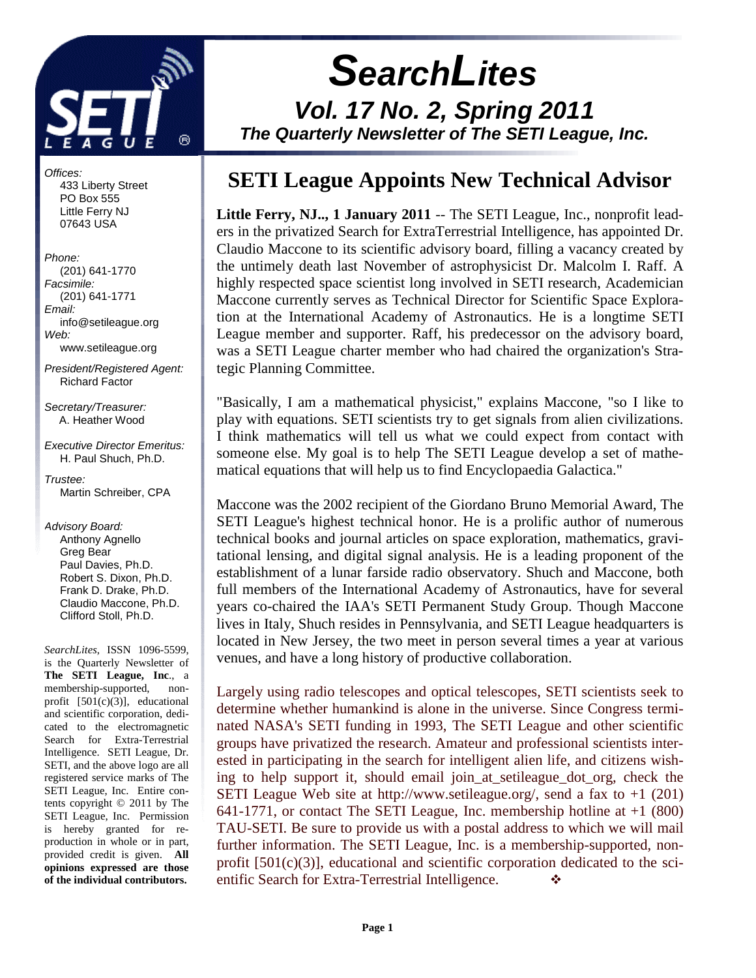

 **SearchLites Vol. 17 No. 2, Spring 2011 The Quarterly Newsletter of The SETI League, Inc.** 

# **SETI League Appoints New Technical Advisor**

**Little Ferry, NJ.., 1 January 2011** -- The SETI League, Inc., nonprofit leaders in the privatized Search for ExtraTerrestrial Intelligence, has appointed Dr. Claudio Maccone to its scientific advisory board, filling a vacancy created by the untimely death last November of astrophysicist Dr. Malcolm I. Raff. A highly respected space scientist long involved in SETI research, Academician Maccone currently serves as Technical Director for Scientific Space Exploration at the International Academy of Astronautics. He is a longtime SETI League member and supporter. Raff, his predecessor on the advisory board, was a SETI League charter member who had chaired the organization's Strategic Planning Committee.

"Basically, I am a mathematical physicist," explains Maccone, "so I like to play with equations. SETI scientists try to get signals from alien civilizations. I think mathematics will tell us what we could expect from contact with someone else. My goal is to help The SETI League develop a set of mathematical equations that will help us to find Encyclopaedia Galactica."

Maccone was the 2002 recipient of the Giordano Bruno Memorial Award, The SETI League's highest technical honor. He is a prolific author of numerous technical books and journal articles on space exploration, mathematics, gravitational lensing, and digital signal analysis. He is a leading proponent of the establishment of a lunar farside radio observatory. Shuch and Maccone, both full members of the International Academy of Astronautics, have for several years co-chaired the IAA's SETI Permanent Study Group. Though Maccone lives in Italy, Shuch resides in Pennsylvania, and SETI League headquarters is located in New Jersey, the two meet in person several times a year at various venues, and have a long history of productive collaboration.

Largely using radio telescopes and optical telescopes, SETI scientists seek to determine whether humankind is alone in the universe. Since Congress terminated NASA's SETI funding in 1993, The SETI League and other scientific groups have privatized the research. Amateur and professional scientists interested in participating in the search for intelligent alien life, and citizens wishing to help support it, should email join\_at\_setileague\_dot\_org, check the SETI League Web site at http://www.setileague.org/, send a fax to  $+1$  (201) 641-1771, or contact The SETI League, Inc. membership hotline at +1 (800) TAU-SETI. Be sure to provide us with a postal address to which we will mail further information. The SETI League, Inc. is a membership-supported, nonprofit [501(c)(3)], educational and scientific corporation dedicated to the scientific Search for Extra-Terrestrial Intelligence.

Offices: 433 Liberty Street PO Box 555 Little Ferry NJ 07643 USA

#### Phone: (201) 641-1770 Facsimile:

 (201) 641-1771 Email: info@setileague.org Web: www.setileague.org

President/Registered Agent: Richard Factor

Secretary/Treasurer: A. Heather Wood

Executive Director Emeritus: H. Paul Shuch, Ph.D.

#### Trustee: Martin Schreiber, CPA

Advisory Board: Anthony Agnello Greg Bear Paul Davies, Ph.D. Robert S. Dixon, Ph.D. Frank D. Drake, Ph.D. Claudio Maccone, Ph.D. Clifford Stoll, Ph.D.

*SearchLites*, ISSN 1096-5599, is the Quarterly Newsletter of **The SETI League, Inc**., a membership-supported, nonprofit [501(c)(3)], educational and scientific corporation, dedicated to the electromagnetic Search for Extra-Terrestrial Intelligence. SETI League, Dr. SETI, and the above logo are all registered service marks of The SETI League, Inc. Entire contents copyright © 2011 by The SETI League, Inc. Permission is hereby granted for reproduction in whole or in part, provided credit is given. **All opinions expressed are those of the individual contributors.**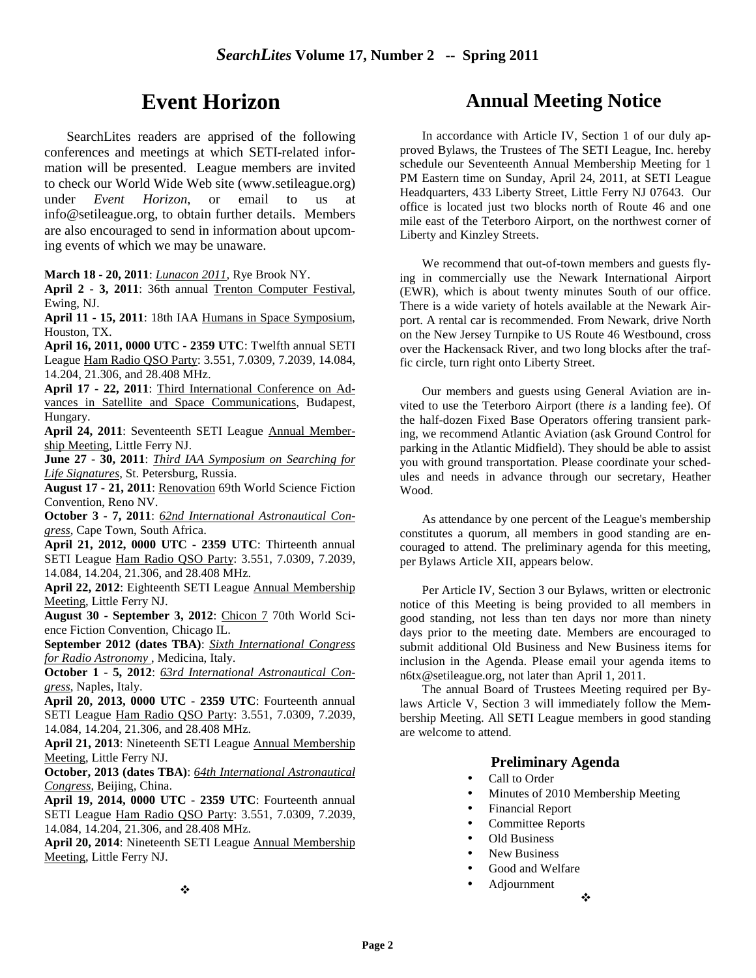# **Event Horizon**

SearchLites readers are apprised of the following conferences and meetings at which SETI-related information will be presented. League members are invited to check our World Wide Web site (www.setileague.org) under *Event Horizon*, or email to us at info@setileague.org, to obtain further details. Members are also encouraged to send in information about upcoming events of which we may be unaware.

**March 18 - 20, 2011**: *Lunacon 2011*, Rye Brook NY.

**April 2 - 3, 2011**: 36th annual Trenton Computer Festival, Ewing, NJ.

**April 11 - 15, 2011**: 18th IAA Humans in Space Symposium, Houston, TX.

**April 16, 2011, 0000 UTC - 2359 UTC**: Twelfth annual SETI League Ham Radio QSO Party: 3.551, 7.0309, 7.2039, 14.084, 14.204, 21.306, and 28.408 MHz.

**April 17 - 22, 2011**: Third International Conference on Advances in Satellite and Space Communications, Budapest, Hungary.

**April 24, 2011**: Seventeenth SETI League Annual Membership Meeting, Little Ferry NJ.

**June 27 - 30, 2011**: *Third IAA Symposium on Searching for Life Signatures*, St. Petersburg, Russia.

**August 17 - 21, 2011**: Renovation 69th World Science Fiction Convention, Reno NV.

**October 3 - 7, 2011**: *62nd International Astronautical Congress*, Cape Town, South Africa.

**April 21, 2012, 0000 UTC - 2359 UTC**: Thirteenth annual SETI League Ham Radio QSO Party: 3.551, 7.0309, 7.2039, 14.084, 14.204, 21.306, and 28.408 MHz.

**April 22, 2012**: Eighteenth SETI League Annual Membership Meeting, Little Ferry NJ.

**August 30 - September 3, 2012**: Chicon 7 70th World Science Fiction Convention, Chicago IL.

**September 2012 (dates TBA)**: *Sixth International Congress for Radio Astronomy* , Medicina, Italy.

**October 1 - 5, 2012**: *63rd International Astronautical Congress*, Naples, Italy.

**April 20, 2013, 0000 UTC - 2359 UTC**: Fourteenth annual SETI League Ham Radio QSO Party: 3.551, 7.0309, 7.2039, 14.084, 14.204, 21.306, and 28.408 MHz.

**April 21, 2013**: Nineteenth SETI League Annual Membership Meeting, Little Ferry NJ.

**October, 2013 (dates TBA)**: *64th International Astronautical Congress*, Beijing, China.

**April 19, 2014, 0000 UTC - 2359 UTC**: Fourteenth annual SETI League Ham Radio QSO Party: 3.551, 7.0309, 7.2039, 14.084, 14.204, 21.306, and 28.408 MHz.

**April 20, 2014**: Nineteenth SETI League Annual Membership Meeting, Little Ferry NJ.

# **Annual Meeting Notice**

In accordance with Article IV, Section 1 of our duly approved Bylaws, the Trustees of The SETI League, Inc. hereby schedule our Seventeenth Annual Membership Meeting for 1 PM Eastern time on Sunday, April 24, 2011, at SETI League Headquarters, 433 Liberty Street, Little Ferry NJ 07643. Our office is located just two blocks north of Route 46 and one mile east of the Teterboro Airport, on the northwest corner of Liberty and Kinzley Streets.

We recommend that out-of-town members and guests flying in commercially use the Newark International Airport (EWR), which is about twenty minutes South of our office. There is a wide variety of hotels available at the Newark Airport. A rental car is recommended. From Newark, drive North on the New Jersey Turnpike to US Route 46 Westbound, cross over the Hackensack River, and two long blocks after the traffic circle, turn right onto Liberty Street.

Our members and guests using General Aviation are invited to use the Teterboro Airport (there *is* a landing fee). Of the half-dozen Fixed Base Operators offering transient parking, we recommend Atlantic Aviation (ask Ground Control for parking in the Atlantic Midfield). They should be able to assist you with ground transportation. Please coordinate your schedules and needs in advance through our secretary, Heather Wood.

As attendance by one percent of the League's membership constitutes a quorum, all members in good standing are encouraged to attend. The preliminary agenda for this meeting, per Bylaws Article XII, appears below.

Per Article IV, Section 3 our Bylaws, written or electronic notice of this Meeting is being provided to all members in good standing, not less than ten days nor more than ninety days prior to the meeting date. Members are encouraged to submit additional Old Business and New Business items for inclusion in the Agenda. Please email your agenda items to n6tx@setileague.org, not later than April 1, 2011.

The annual Board of Trustees Meeting required per Bylaws Article V, Section 3 will immediately follow the Membership Meeting. All SETI League members in good standing are welcome to attend.

#### **Preliminary Agenda**

- Call to Order
- Minutes of 2010 Membership Meeting

❖

- Financial Report
- Committee Reports
- Old Business
- New Business
- Good and Welfare
- Adjournment

÷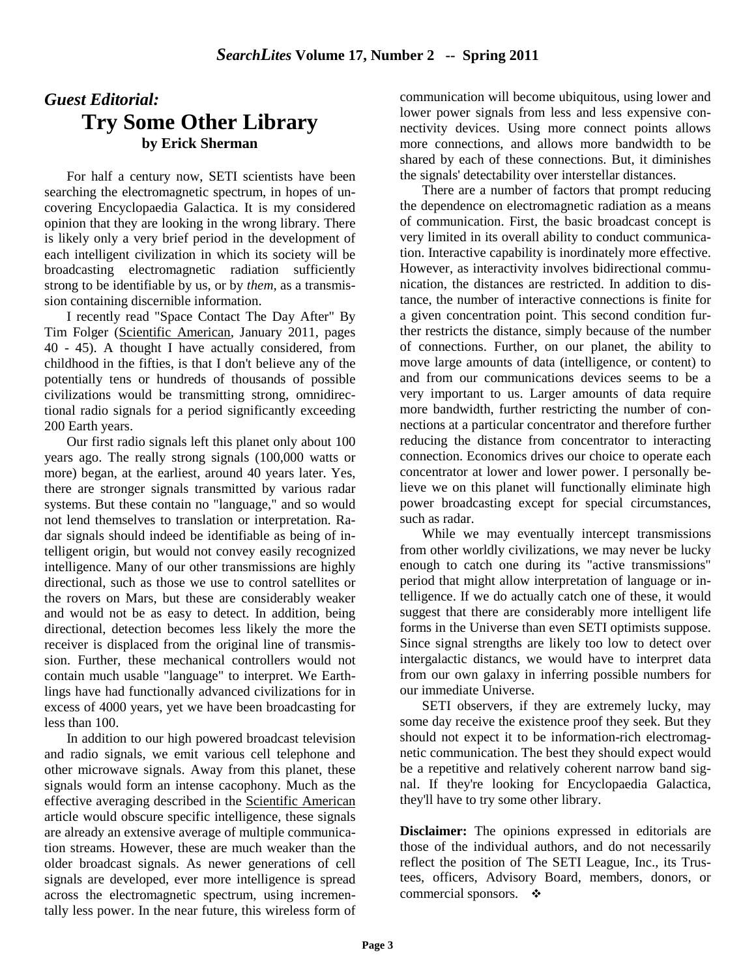# *Guest Editorial:* **Try Some Other Library by Erick Sherman**

For half a century now, SETI scientists have been searching the electromagnetic spectrum, in hopes of uncovering Encyclopaedia Galactica. It is my considered opinion that they are looking in the wrong library. There is likely only a very brief period in the development of each intelligent civilization in which its society will be broadcasting electromagnetic radiation sufficiently strong to be identifiable by us, or by *them*, as a transmission containing discernible information.

I recently read "Space Contact The Day After" By Tim Folger (Scientific American, January 2011, pages 40 - 45). A thought I have actually considered, from childhood in the fifties, is that I don't believe any of the potentially tens or hundreds of thousands of possible civilizations would be transmitting strong, omnidirectional radio signals for a period significantly exceeding 200 Earth years.

Our first radio signals left this planet only about 100 years ago. The really strong signals (100,000 watts or more) began, at the earliest, around 40 years later. Yes, there are stronger signals transmitted by various radar systems. But these contain no "language," and so would not lend themselves to translation or interpretation. Radar signals should indeed be identifiable as being of intelligent origin, but would not convey easily recognized intelligence. Many of our other transmissions are highly directional, such as those we use to control satellites or the rovers on Mars, but these are considerably weaker and would not be as easy to detect. In addition, being directional, detection becomes less likely the more the receiver is displaced from the original line of transmission. Further, these mechanical controllers would not contain much usable "language" to interpret. We Earthlings have had functionally advanced civilizations for in excess of 4000 years, yet we have been broadcasting for less than 100.

In addition to our high powered broadcast television and radio signals, we emit various cell telephone and other microwave signals. Away from this planet, these signals would form an intense cacophony. Much as the effective averaging described in the Scientific American article would obscure specific intelligence, these signals are already an extensive average of multiple communication streams. However, these are much weaker than the older broadcast signals. As newer generations of cell signals are developed, ever more intelligence is spread across the electromagnetic spectrum, using incrementally less power. In the near future, this wireless form of communication will become ubiquitous, using lower and lower power signals from less and less expensive connectivity devices. Using more connect points allows more connections, and allows more bandwidth to be shared by each of these connections. But, it diminishes the signals' detectability over interstellar distances.

There are a number of factors that prompt reducing the dependence on electromagnetic radiation as a means of communication. First, the basic broadcast concept is very limited in its overall ability to conduct communication. Interactive capability is inordinately more effective. However, as interactivity involves bidirectional communication, the distances are restricted. In addition to distance, the number of interactive connections is finite for a given concentration point. This second condition further restricts the distance, simply because of the number of connections. Further, on our planet, the ability to move large amounts of data (intelligence, or content) to and from our communications devices seems to be a very important to us. Larger amounts of data require more bandwidth, further restricting the number of connections at a particular concentrator and therefore further reducing the distance from concentrator to interacting connection. Economics drives our choice to operate each concentrator at lower and lower power. I personally believe we on this planet will functionally eliminate high power broadcasting except for special circumstances, such as radar.

While we may eventually intercept transmissions from other worldly civilizations, we may never be lucky enough to catch one during its "active transmissions" period that might allow interpretation of language or intelligence. If we do actually catch one of these, it would suggest that there are considerably more intelligent life forms in the Universe than even SETI optimists suppose. Since signal strengths are likely too low to detect over intergalactic distancs, we would have to interpret data from our own galaxy in inferring possible numbers for our immediate Universe.

SETI observers, if they are extremely lucky, may some day receive the existence proof they seek. But they should not expect it to be information-rich electromagnetic communication. The best they should expect would be a repetitive and relatively coherent narrow band signal. If they're looking for Encyclopaedia Galactica, they'll have to try some other library.

**Disclaimer:** The opinions expressed in editorials are those of the individual authors, and do not necessarily reflect the position of The SETI League, Inc., its Trustees, officers, Advisory Board, members, donors, or commercial sponsors.  $\bullet$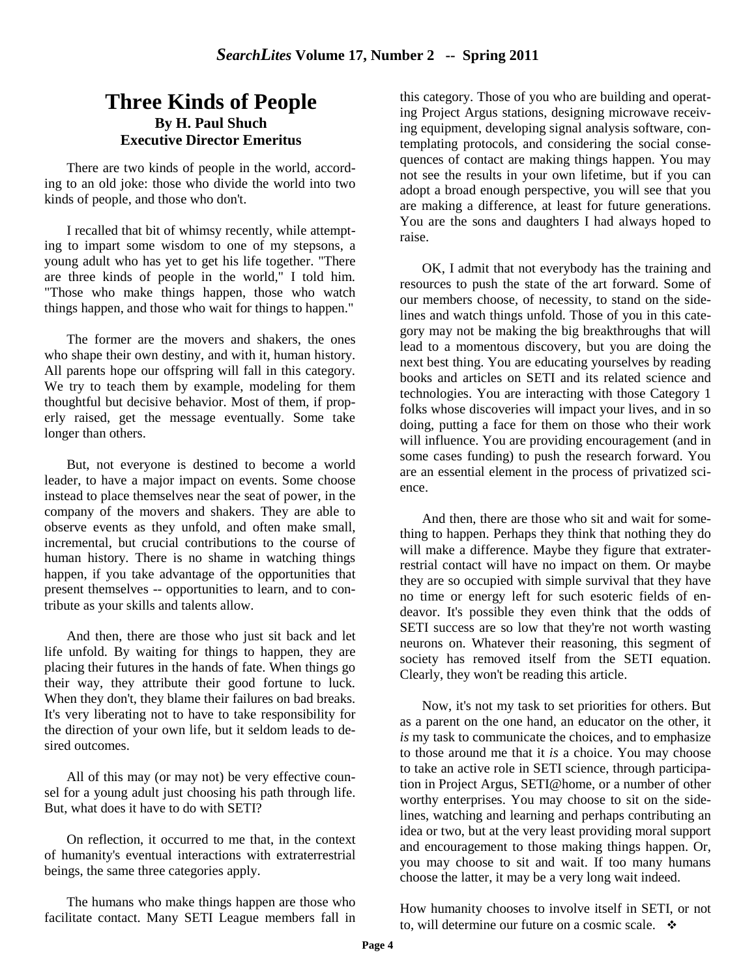## **Three Kinds of People By H. Paul Shuch Executive Director Emeritus**

There are two kinds of people in the world, according to an old joke: those who divide the world into two kinds of people, and those who don't.

I recalled that bit of whimsy recently, while attempting to impart some wisdom to one of my stepsons, a young adult who has yet to get his life together. "There are three kinds of people in the world," I told him. "Those who make things happen, those who watch things happen, and those who wait for things to happen."

The former are the movers and shakers, the ones who shape their own destiny, and with it, human history. All parents hope our offspring will fall in this category. We try to teach them by example, modeling for them thoughtful but decisive behavior. Most of them, if properly raised, get the message eventually. Some take longer than others.

But, not everyone is destined to become a world leader, to have a major impact on events. Some choose instead to place themselves near the seat of power, in the company of the movers and shakers. They are able to observe events as they unfold, and often make small, incremental, but crucial contributions to the course of human history. There is no shame in watching things happen, if you take advantage of the opportunities that present themselves -- opportunities to learn, and to contribute as your skills and talents allow.

And then, there are those who just sit back and let life unfold. By waiting for things to happen, they are placing their futures in the hands of fate. When things go their way, they attribute their good fortune to luck. When they don't, they blame their failures on bad breaks. It's very liberating not to have to take responsibility for the direction of your own life, but it seldom leads to desired outcomes.

All of this may (or may not) be very effective counsel for a young adult just choosing his path through life. But, what does it have to do with SETI?

On reflection, it occurred to me that, in the context of humanity's eventual interactions with extraterrestrial beings, the same three categories apply.

The humans who make things happen are those who facilitate contact. Many SETI League members fall in this category. Those of you who are building and operating Project Argus stations, designing microwave receiving equipment, developing signal analysis software, contemplating protocols, and considering the social consequences of contact are making things happen. You may not see the results in your own lifetime, but if you can adopt a broad enough perspective, you will see that you are making a difference, at least for future generations. You are the sons and daughters I had always hoped to raise.

OK, I admit that not everybody has the training and resources to push the state of the art forward. Some of our members choose, of necessity, to stand on the sidelines and watch things unfold. Those of you in this category may not be making the big breakthroughs that will lead to a momentous discovery, but you are doing the next best thing. You are educating yourselves by reading books and articles on SETI and its related science and technologies. You are interacting with those Category 1 folks whose discoveries will impact your lives, and in so doing, putting a face for them on those who their work will influence. You are providing encouragement (and in some cases funding) to push the research forward. You are an essential element in the process of privatized science.

And then, there are those who sit and wait for something to happen. Perhaps they think that nothing they do will make a difference. Maybe they figure that extraterrestrial contact will have no impact on them. Or maybe they are so occupied with simple survival that they have no time or energy left for such esoteric fields of endeavor. It's possible they even think that the odds of SETI success are so low that they're not worth wasting neurons on. Whatever their reasoning, this segment of society has removed itself from the SETI equation. Clearly, they won't be reading this article.

Now, it's not my task to set priorities for others. But as a parent on the one hand, an educator on the other, it *is* my task to communicate the choices, and to emphasize to those around me that it *is* a choice. You may choose to take an active role in SETI science, through participation in Project Argus, SETI@home, or a number of other worthy enterprises. You may choose to sit on the sidelines, watching and learning and perhaps contributing an idea or two, but at the very least providing moral support and encouragement to those making things happen. Or, you may choose to sit and wait. If too many humans choose the latter, it may be a very long wait indeed.

How humanity chooses to involve itself in SETI, or not to, will determine our future on a cosmic scale.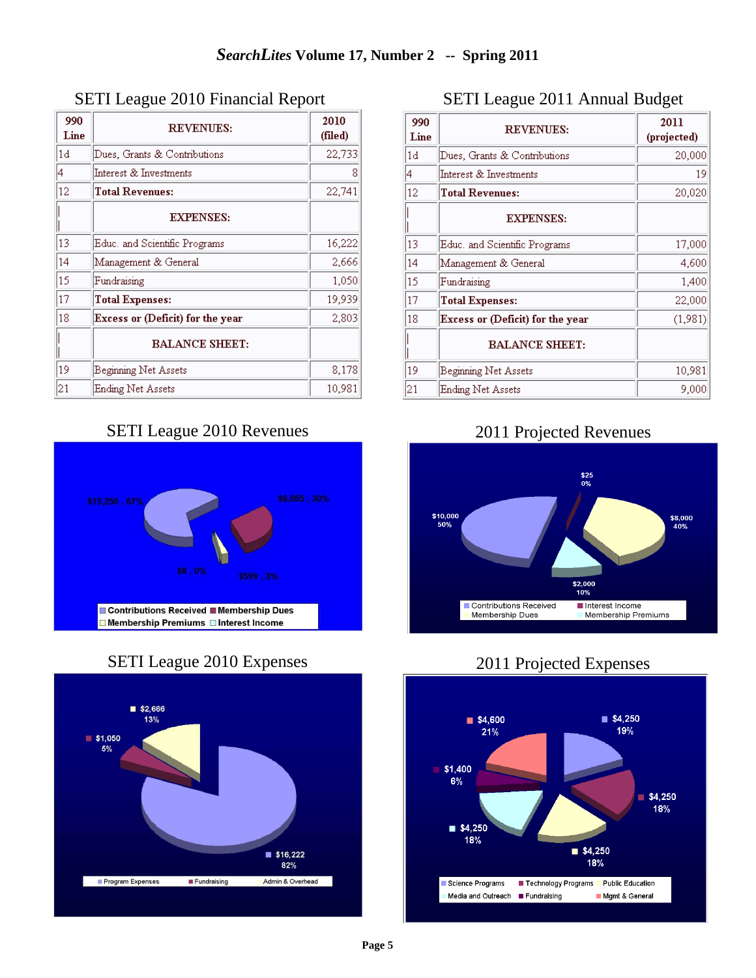| 990<br>Line | <b>REVENUES:</b>                 | 2010<br>(filed) |
|-------------|----------------------------------|-----------------|
| 1d          | Dues, Grants & Contributions     | 22,733          |
| 4           | Interest & Investments           | 8               |
| 12          | <b>Total Revenues:</b>           | 22,741          |
|             | <b>EXPENSES:</b>                 |                 |
| 13          | Educ, and Scientific Programs    | 16,222          |
| 14          | Management & General             | 2,666           |
| 15          | Fundraising                      | 1,050           |
| 17          | <b>Total Expenses:</b>           | 19,939          |
| 18          | Excess or (Deficit) for the year | 2,803           |
|             | <b>BALANCE SHEET:</b>            |                 |
| 19          | Beginning Net Assets             | 8,178           |
| 21          | Ending Net Assets                | 10,981          |

### SETI League 2010 Financial Report

# SETI League 2010 Revenues



## SETI League 2010 Expenses



## SETI League 2011 Annual Budget

| 990<br>Line | <b>REVENUES:</b>                 | 2011<br>(projected) |
|-------------|----------------------------------|---------------------|
| 1d          | Dues, Grants & Contributions     | 20,000              |
| 4           | Interest & Investments           | 19                  |
| 12          | <b>Total Revenues:</b>           | 20,020              |
|             | <b>EXPENSES:</b>                 |                     |
| 13          | Educ, and Scientific Programs    | 17,000              |
| 14          | Management & General             | 4,600               |
| 15          | Fundraising                      | 1,400               |
| 17          | <b>Total Expenses:</b>           | 22,000              |
| 18          | Excess or (Deficit) for the year | (1,981)             |
|             | <b>BALANCE SHEET:</b>            |                     |
| 19          | Beginning Net Assets             | 10,981              |
| 21          | Ending Net Assets                | 9,000               |

## 2011 Projected Revenues



## 2011 Projected Expenses

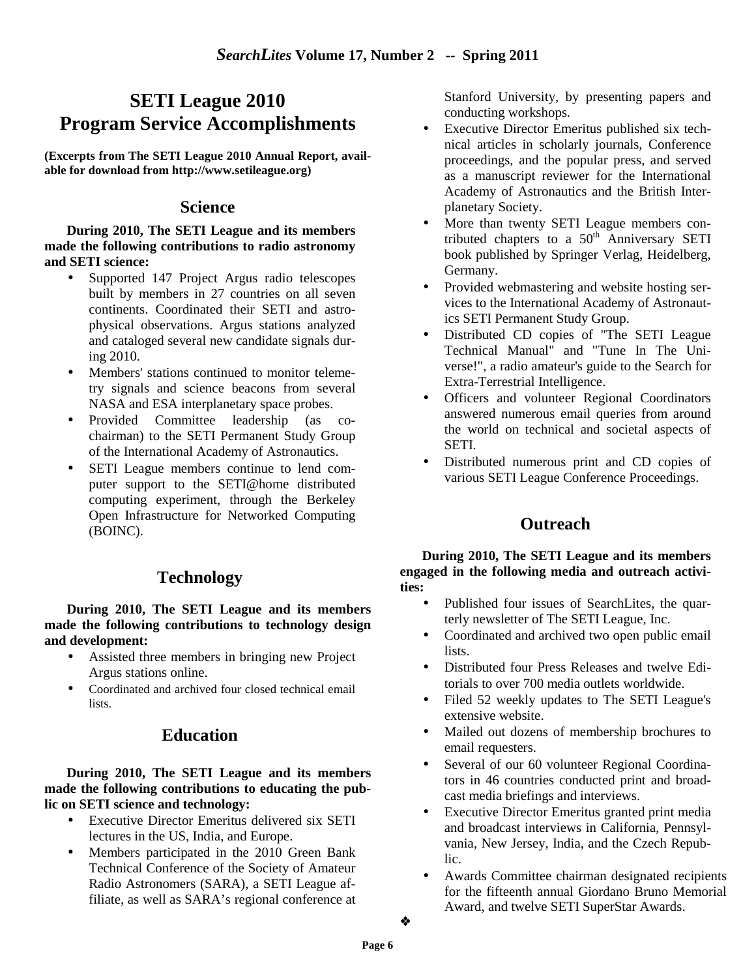# **SETI League 2010 Program Service Accomplishments**

**(Excerpts from The SETI League 2010 Annual Report, available for download from http://www.setileague.org)** 

#### **Science**

**During 2010, The SETI League and its members made the following contributions to radio astronomy and SETI science:** 

- Supported 147 Project Argus radio telescopes built by members in 27 countries on all seven continents. Coordinated their SETI and astrophysical observations. Argus stations analyzed and cataloged several new candidate signals during 2010.
- Members' stations continued to monitor telemetry signals and science beacons from several NASA and ESA interplanetary space probes.
- Provided Committee leadership (as cochairman) to the SETI Permanent Study Group of the International Academy of Astronautics.
- SETI League members continue to lend computer support to the SETI@home distributed computing experiment, through the Berkeley Open Infrastructure for Networked Computing (BOINC).

### **Technology**

**During 2010, The SETI League and its members made the following contributions to technology design and development:** 

- Assisted three members in bringing new Project Argus stations online.
- Coordinated and archived four closed technical email lists.

### **Education**

**During 2010, The SETI League and its members made the following contributions to educating the public on SETI science and technology:** 

- Executive Director Emeritus delivered six SETI lectures in the US, India, and Europe.
- Members participated in the 2010 Green Bank Technical Conference of the Society of Amateur Radio Astronomers (SARA), a SETI League affiliate, as well as SARA's regional conference at

Stanford University, by presenting papers and conducting workshops.

- Executive Director Emeritus published six technical articles in scholarly journals, Conference proceedings, and the popular press, and served as a manuscript reviewer for the International Academy of Astronautics and the British Interplanetary Society.
- More than twenty SETI League members contributed chapters to a  $50<sup>th</sup>$  Anniversary SETI book published by Springer Verlag, Heidelberg, Germany.
- Provided webmastering and website hosting services to the International Academy of Astronautics SETI Permanent Study Group.
- Distributed CD copies of "The SETI League Technical Manual" and "Tune In The Universe!", a radio amateur's guide to the Search for Extra-Terrestrial Intelligence.
- Officers and volunteer Regional Coordinators answered numerous email queries from around the world on technical and societal aspects of SETI.
- Distributed numerous print and CD copies of various SETI League Conference Proceedings.

## **Outreach**

**During 2010, The SETI League and its members engaged in the following media and outreach activities:** 

- Published four issues of SearchLites, the quarterly newsletter of The SETI League, Inc.
- Coordinated and archived two open public email lists.
- Distributed four Press Releases and twelve Editorials to over 700 media outlets worldwide.
- Filed 52 weekly updates to The SETI League's extensive website.
- Mailed out dozens of membership brochures to email requesters.
- Several of our 60 volunteer Regional Coordinators in 46 countries conducted print and broadcast media briefings and interviews.
- Executive Director Emeritus granted print media and broadcast interviews in California, Pennsylvania, New Jersey, India, and the Czech Republic.
- Awards Committee chairman designated recipients for the fifteenth annual Giordano Bruno Memorial Award, and twelve SETI SuperStar Awards.

٠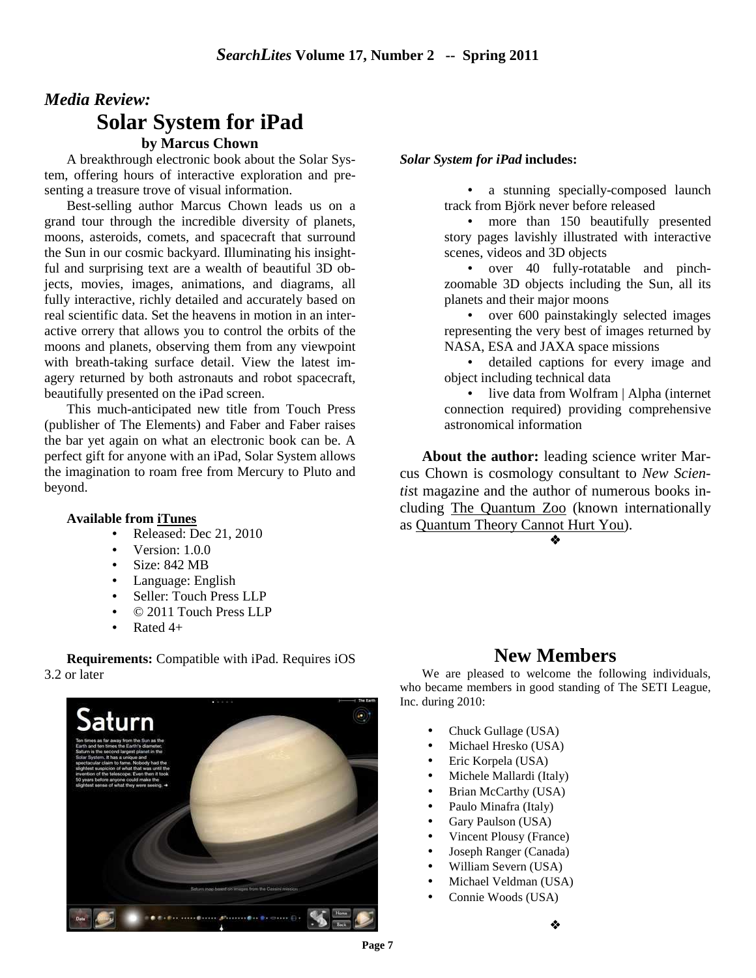# *Media Review:* **Solar System for iPad**

### **by Marcus Chown**

A breakthrough electronic book about the Solar System, offering hours of interactive exploration and presenting a treasure trove of visual information.

Best-selling author Marcus Chown leads us on a grand tour through the incredible diversity of planets, moons, asteroids, comets, and spacecraft that surround the Sun in our cosmic backyard. Illuminating his insightful and surprising text are a wealth of beautiful 3D objects, movies, images, animations, and diagrams, all fully interactive, richly detailed and accurately based on real scientific data. Set the heavens in motion in an interactive orrery that allows you to control the orbits of the moons and planets, observing them from any viewpoint with breath-taking surface detail. View the latest imagery returned by both astronauts and robot spacecraft, beautifully presented on the iPad screen.

This much-anticipated new title from Touch Press (publisher of The Elements) and Faber and Faber raises the bar yet again on what an electronic book can be. A perfect gift for anyone with an iPad, Solar System allows the imagination to roam free from Mercury to Pluto and beyond.

#### **Available from iTunes**

- Released: Dec 21, 2010
- Version: 1.0.0
- Size: 842 MB
- Language: English
- Seller: Touch Press LLP
- © 2011 Touch Press LLP
- Rated  $4+$

#### **Requirements:** Compatible with iPad. Requires iOS 3.2 or later



#### *Solar System for iPad* **includes:**

• a stunning specially-composed launch track from Björk never before released

• more than 150 beautifully presented story pages lavishly illustrated with interactive scenes, videos and 3D objects

• over 40 fully-rotatable and pinchzoomable 3D objects including the Sun, all its planets and their major moons

• over 600 painstakingly selected images representing the very best of images returned by NASA, ESA and JAXA space missions

• detailed captions for every image and object including technical data

• live data from Wolfram | Alpha (internet connection required) providing comprehensive astronomical information

**About the author:** leading science writer Marcus Chown is cosmology consultant to *New Scientis*t magazine and the author of numerous books including The Quantum Zoo (known internationally as Quantum Theory Cannot Hurt You).

 $\bullet$ 

### **New Members**

We are pleased to welcome the following individuals, who became members in good standing of The SETI League, Inc. during 2010:

- Chuck Gullage (USA)
- Michael Hresko (USA)
- Eric Korpela (USA)
- Michele Mallardi (Italy)
- Brian McCarthy (USA)
- Paulo Minafra (Italy)
- Gary Paulson (USA)
- Vincent Plousy (France)
- Joseph Ranger (Canada)
- William Severn (USA)
- Michael Veldman (USA)
- Connie Woods (USA)